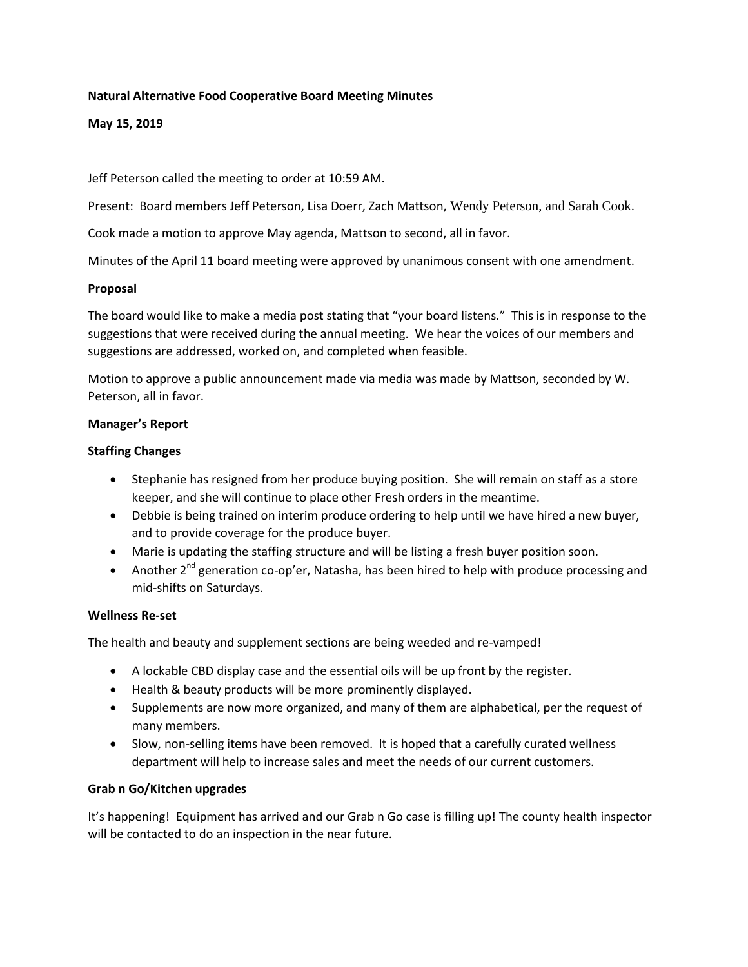## **Natural Alternative Food Cooperative Board Meeting Minutes**

**May 15, 2019** 

Jeff Peterson called the meeting to order at 10:59 AM.

Present: Board members Jeff Peterson, Lisa Doerr, Zach Mattson, Wendy Peterson, and Sarah Cook.

Cook made a motion to approve May agenda, Mattson to second, all in favor.

Minutes of the April 11 board meeting were approved by unanimous consent with one amendment.

### **Proposal**

The board would like to make a media post stating that "your board listens." This is in response to the suggestions that were received during the annual meeting. We hear the voices of our members and suggestions are addressed, worked on, and completed when feasible.

Motion to approve a public announcement made via media was made by Mattson, seconded by W. Peterson, all in favor.

### **Manager's Report**

### **Staffing Changes**

- Stephanie has resigned from her produce buying position. She will remain on staff as a store keeper, and she will continue to place other Fresh orders in the meantime.
- Debbie is being trained on interim produce ordering to help until we have hired a new buyer, and to provide coverage for the produce buyer.
- Marie is updating the staffing structure and will be listing a fresh buyer position soon.
- Another  $2^{nd}$  generation co-op'er, Natasha, has been hired to help with produce processing and mid-shifts on Saturdays.

## **Wellness Re-set**

The health and beauty and supplement sections are being weeded and re-vamped!

- A lockable CBD display case and the essential oils will be up front by the register.
- Health & beauty products will be more prominently displayed.
- Supplements are now more organized, and many of them are alphabetical, per the request of many members.
- Slow, non-selling items have been removed. It is hoped that a carefully curated wellness department will help to increase sales and meet the needs of our current customers.

## **Grab n Go/Kitchen upgrades**

It's happening! Equipment has arrived and our Grab n Go case is filling up! The county health inspector will be contacted to do an inspection in the near future.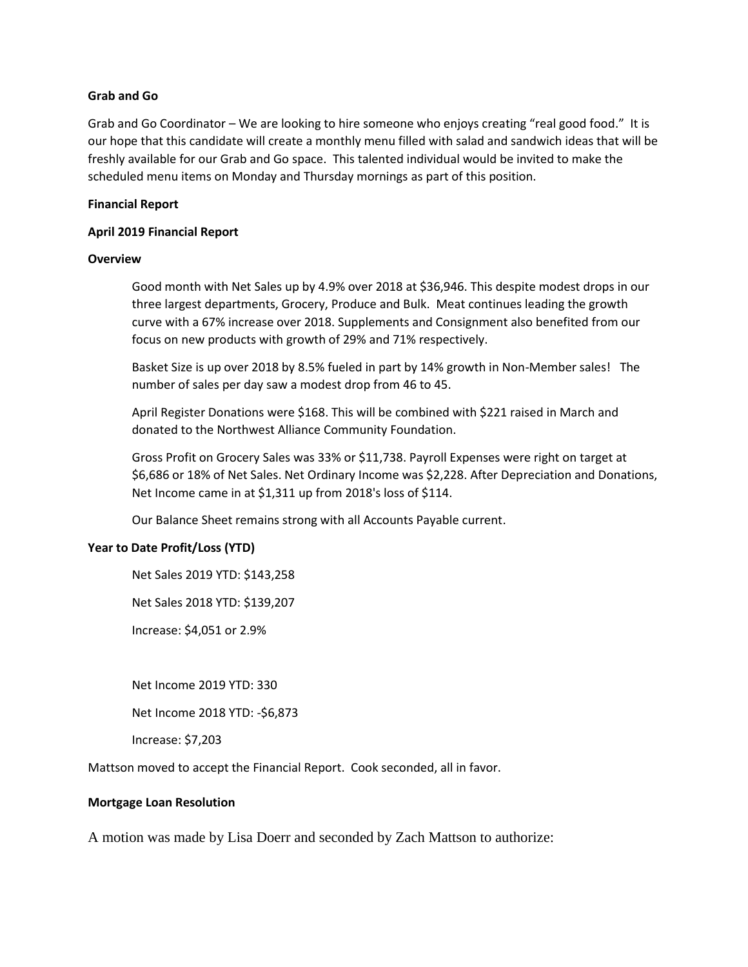### **Grab and Go**

Grab and Go Coordinator – We are looking to hire someone who enjoys creating "real good food." It is our hope that this candidate will create a monthly menu filled with salad and sandwich ideas that will be freshly available for our Grab and Go space. This talented individual would be invited to make the scheduled menu items on Monday and Thursday mornings as part of this position.

#### **Financial Report**

### **April 2019 Financial Report**

### **Overview**

Good month with Net Sales up by 4.9% over 2018 at \$36,946. This despite modest drops in our three largest departments, Grocery, Produce and Bulk. Meat continues leading the growth curve with a 67% increase over 2018. Supplements and Consignment also benefited from our focus on new products with growth of 29% and 71% respectively.

Basket Size is up over 2018 by 8.5% fueled in part by 14% growth in Non-Member sales! The number of sales per day saw a modest drop from 46 to 45.

April Register Donations were \$168. This will be combined with \$221 raised in March and donated to the Northwest Alliance Community Foundation.

Gross Profit on Grocery Sales was 33% or \$11,738. Payroll Expenses were right on target at \$6,686 or 18% of Net Sales. Net Ordinary Income was \$2,228. After Depreciation and Donations, Net Income came in at \$1,311 up from 2018's loss of \$114.

Our Balance Sheet remains strong with all Accounts Payable current.

## **Year to Date Profit/Loss (YTD)**

Net Sales 2019 YTD: \$143,258

Net Sales 2018 YTD: \$139,207

Increase: \$4,051 or 2.9%

Net Income 2019 YTD: 330

Net Income 2018 YTD: -\$6,873

Increase: \$7,203

Mattson moved to accept the Financial Report. Cook seconded, all in favor.

#### **Mortgage Loan Resolution**

A motion was made by Lisa Doerr and seconded by Zach Mattson to authorize: